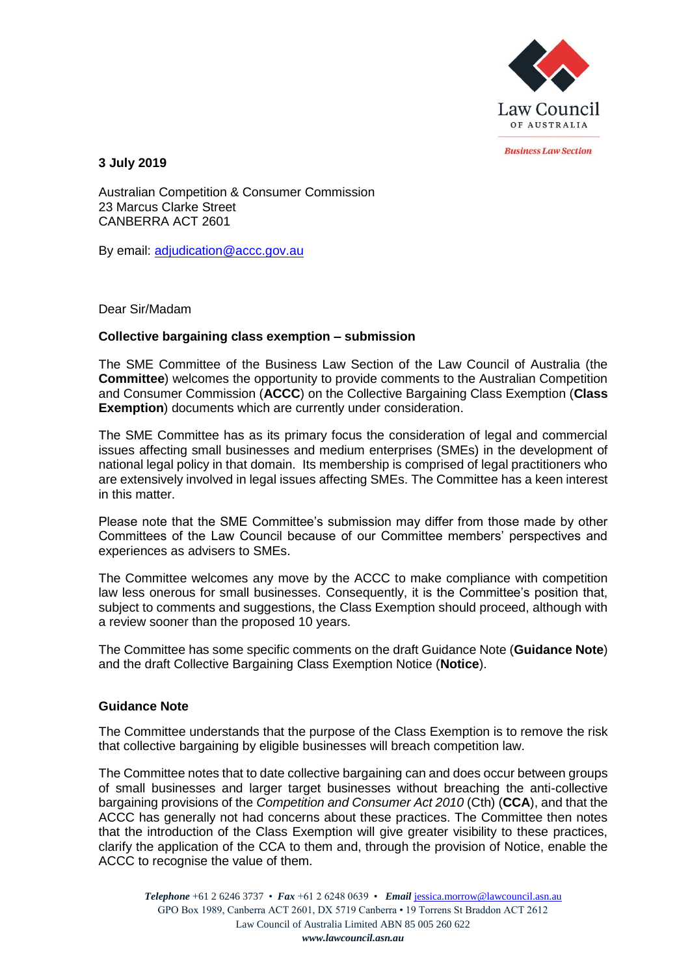

*<u>Rusiness Law Section</u>* 

**3 July 2019**

Australian Competition & Consumer Commission 23 Marcus Clarke Street CANBERRA ACT 2601

By email: [adjudication@accc.gov.au](mailto:adjudication@accc.gov.au)

Dear Sir/Madam

## **Collective bargaining class exemption – submission**

The SME Committee of the Business Law Section of the Law Council of Australia (the **Committee**) welcomes the opportunity to provide comments to the Australian Competition and Consumer Commission (**ACCC**) on the Collective Bargaining Class Exemption (**Class Exemption**) documents which are currently under consideration.

The SME Committee has as its primary focus the consideration of legal and commercial issues affecting small businesses and medium enterprises (SMEs) in the development of national legal policy in that domain. Its membership is comprised of legal practitioners who are extensively involved in legal issues affecting SMEs. The Committee has a keen interest in this matter.

Please note that the SME Committee's submission may differ from those made by other Committees of the Law Council because of our Committee members' perspectives and experiences as advisers to SMEs.

The Committee welcomes any move by the ACCC to make compliance with competition law less onerous for small businesses. Consequently, it is the Committee's position that, subject to comments and suggestions, the Class Exemption should proceed, although with a review sooner than the proposed 10 years.

The Committee has some specific comments on the draft Guidance Note (**Guidance Note**) and the draft Collective Bargaining Class Exemption Notice (**Notice**).

## **Guidance Note**

The Committee understands that the purpose of the Class Exemption is to remove the risk that collective bargaining by eligible businesses will breach competition law.

The Committee notes that to date collective bargaining can and does occur between groups of small businesses and larger target businesses without breaching the anti-collective bargaining provisions of the *Competition and Consumer Act 2010* (Cth) (**CCA**), and that the ACCC has generally not had concerns about these practices. The Committee then notes that the introduction of the Class Exemption will give greater visibility to these practices, clarify the application of the CCA to them and, through the provision of Notice, enable the ACCC to recognise the value of them.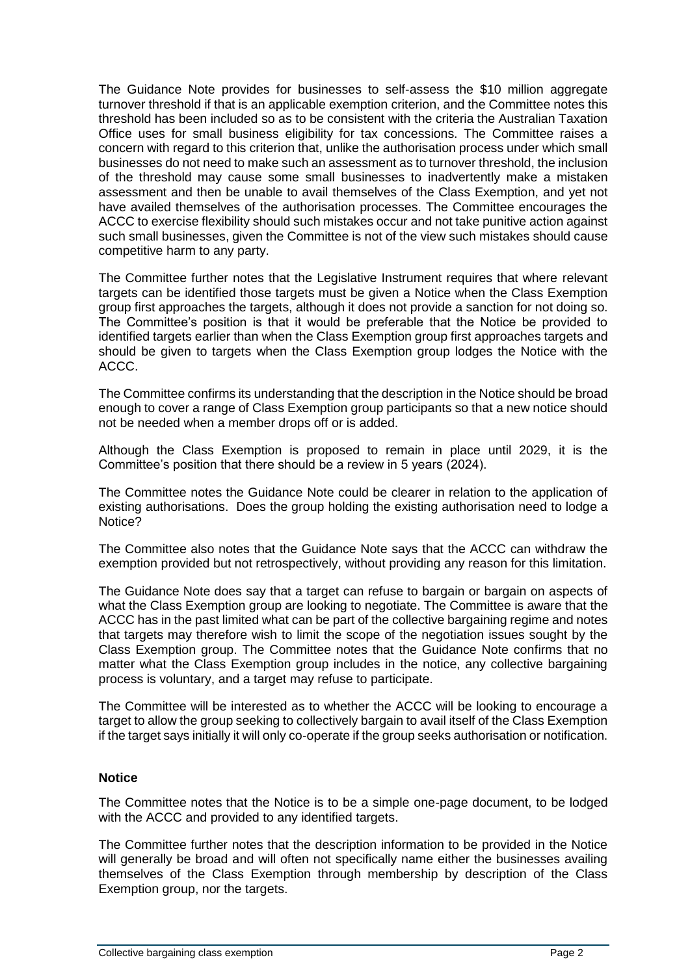The Guidance Note provides for businesses to self-assess the \$10 million aggregate turnover threshold if that is an applicable exemption criterion, and the Committee notes this threshold has been included so as to be consistent with the criteria the Australian Taxation Office uses for small business eligibility for tax concessions. The Committee raises a concern with regard to this criterion that, unlike the authorisation process under which small businesses do not need to make such an assessment as to turnover threshold, the inclusion of the threshold may cause some small businesses to inadvertently make a mistaken assessment and then be unable to avail themselves of the Class Exemption, and yet not have availed themselves of the authorisation processes. The Committee encourages the ACCC to exercise flexibility should such mistakes occur and not take punitive action against such small businesses, given the Committee is not of the view such mistakes should cause competitive harm to any party.

The Committee further notes that the Legislative Instrument requires that where relevant targets can be identified those targets must be given a Notice when the Class Exemption group first approaches the targets, although it does not provide a sanction for not doing so. The Committee's position is that it would be preferable that the Notice be provided to identified targets earlier than when the Class Exemption group first approaches targets and should be given to targets when the Class Exemption group lodges the Notice with the ACCC.

The Committee confirms its understanding that the description in the Notice should be broad enough to cover a range of Class Exemption group participants so that a new notice should not be needed when a member drops off or is added.

Although the Class Exemption is proposed to remain in place until 2029, it is the Committee's position that there should be a review in 5 years (2024).

The Committee notes the Guidance Note could be clearer in relation to the application of existing authorisations. Does the group holding the existing authorisation need to lodge a Notice?

The Committee also notes that the Guidance Note says that the ACCC can withdraw the exemption provided but not retrospectively, without providing any reason for this limitation.

The Guidance Note does say that a target can refuse to bargain or bargain on aspects of what the Class Exemption group are looking to negotiate. The Committee is aware that the ACCC has in the past limited what can be part of the collective bargaining regime and notes that targets may therefore wish to limit the scope of the negotiation issues sought by the Class Exemption group. The Committee notes that the Guidance Note confirms that no matter what the Class Exemption group includes in the notice, any collective bargaining process is voluntary, and a target may refuse to participate.

The Committee will be interested as to whether the ACCC will be looking to encourage a target to allow the group seeking to collectively bargain to avail itself of the Class Exemption if the target says initially it will only co-operate if the group seeks authorisation or notification.

## **Notice**

The Committee notes that the Notice is to be a simple one-page document, to be lodged with the ACCC and provided to any identified targets.

The Committee further notes that the description information to be provided in the Notice will generally be broad and will often not specifically name either the businesses availing themselves of the Class Exemption through membership by description of the Class Exemption group, nor the targets.